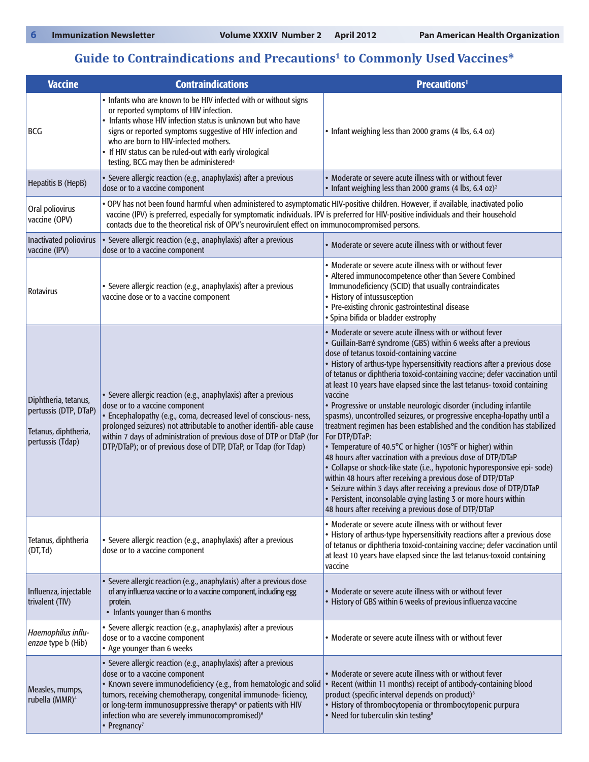## **Guide to Contraindications and Precautions1 to Commonly Used Vaccines\***

| <b>Vaccine</b>                                                                            | <b>Contraindications</b>                                                                                                                                                                                                                                                                                                                                                                                      | <b>Precautions<sup>1</sup></b>                                                                                                                                                                                                                                                                                                                                                                                                                                                                                                                                                                                                                                                                                                                                                                                                                                                                                                                                                                                                                                                                                                                      |
|-------------------------------------------------------------------------------------------|---------------------------------------------------------------------------------------------------------------------------------------------------------------------------------------------------------------------------------------------------------------------------------------------------------------------------------------------------------------------------------------------------------------|-----------------------------------------------------------------------------------------------------------------------------------------------------------------------------------------------------------------------------------------------------------------------------------------------------------------------------------------------------------------------------------------------------------------------------------------------------------------------------------------------------------------------------------------------------------------------------------------------------------------------------------------------------------------------------------------------------------------------------------------------------------------------------------------------------------------------------------------------------------------------------------------------------------------------------------------------------------------------------------------------------------------------------------------------------------------------------------------------------------------------------------------------------|
| <b>BCG</b>                                                                                | • Infants who are known to be HIV infected with or without signs<br>or reported symptoms of HIV infection.<br>• Infants whose HIV infection status is unknown but who have<br>signs or reported symptoms suggestive of HIV infection and<br>who are born to HIV-infected mothers.<br>• If HIV status can be ruled-out with early virological<br>testing, BCG may then be administered <sup>a</sup>            | • Infant weighing less than 2000 grams (4 lbs, 6.4 oz)                                                                                                                                                                                                                                                                                                                                                                                                                                                                                                                                                                                                                                                                                                                                                                                                                                                                                                                                                                                                                                                                                              |
| Hepatitis B (HepB)                                                                        | · Severe allergic reaction (e.g., anaphylaxis) after a previous<br>dose or to a vaccine component                                                                                                                                                                                                                                                                                                             | • Moderate or severe acute illness with or without fever<br>• Infant weighing less than 2000 grams (4 lbs, 6.4 oz) <sup>2</sup>                                                                                                                                                                                                                                                                                                                                                                                                                                                                                                                                                                                                                                                                                                                                                                                                                                                                                                                                                                                                                     |
| Oral poliovirus<br>vaccine (OPV)                                                          | . OPV has not been found harmful when administered to asymptomatic HIV-positive children. However, if available, inactivated polio<br>vaccine (IPV) is preferred, especially for symptomatic individuals. IPV is preferred for HIV-positive individuals and their household<br>contacts due to the theoretical risk of OPV's neurovirulent effect on immunocompromised persons.                               |                                                                                                                                                                                                                                                                                                                                                                                                                                                                                                                                                                                                                                                                                                                                                                                                                                                                                                                                                                                                                                                                                                                                                     |
| Inactivated poliovirus<br>vaccine (IPV)                                                   | · Severe allergic reaction (e.g., anaphylaxis) after a previous<br>dose or to a vaccine component                                                                                                                                                                                                                                                                                                             | • Moderate or severe acute illness with or without fever                                                                                                                                                                                                                                                                                                                                                                                                                                                                                                                                                                                                                                                                                                                                                                                                                                                                                                                                                                                                                                                                                            |
| Rotavirus                                                                                 | · Severe allergic reaction (e.g., anaphylaxis) after a previous<br>vaccine dose or to a vaccine component                                                                                                                                                                                                                                                                                                     | • Moderate or severe acute illness with or without fever<br>• Altered immunocompetence other than Severe Combined<br>Immunodeficiency (SCID) that usually contraindicates<br>• History of intussusception<br>• Pre-existing chronic gastrointestinal disease<br>· Spina bifida or bladder exstrophy                                                                                                                                                                                                                                                                                                                                                                                                                                                                                                                                                                                                                                                                                                                                                                                                                                                 |
| Diphtheria, tetanus,<br>pertussis (DTP, DTaP)<br>Tetanus, diphtheria,<br>pertussis (Tdap) | · Severe allergic reaction (e.g., anaphylaxis) after a previous<br>dose or to a vaccine component<br>• Encephalopathy (e.g., coma, decreased level of conscious- ness,<br>prolonged seizures) not attributable to another identifi- able cause<br>within 7 days of administration of previous dose of DTP or DTaP (for<br>DTP/DTaP); or of previous dose of DTP, DTaP, or Tdap (for Tdap)                     | • Moderate or severe acute illness with or without fever<br>• Guillain-Barré syndrome (GBS) within 6 weeks after a previous<br>dose of tetanus toxoid-containing vaccine<br>• History of arthus-type hypersensitivity reactions after a previous dose<br>of tetanus or diphtheria toxoid-containing vaccine; defer vaccination until<br>at least 10 years have elapsed since the last tetanus- toxoid containing<br>vaccine<br>• Progressive or unstable neurologic disorder (including infantile<br>spasms), uncontrolled seizures, or progressive encepha-lopathy until a<br>treatment regimen has been established and the condition has stabilized<br>For DTP/DTaP:<br>• Temperature of 40.5°C or higher (105°F or higher) within<br>48 hours after vaccination with a previous dose of DTP/DTaP<br>· Collapse or shock-like state (i.e., hypotonic hyporesponsive epi- sode)<br>within 48 hours after receiving a previous dose of DTP/DTaP<br>• Seizure within 3 days after receiving a previous dose of DTP/DTaP<br>• Persistent, inconsolable crying lasting 3 or more hours within<br>48 hours after receiving a previous dose of DTP/DTaP |
| Tetanus, diphtheria<br>(DT, Td)                                                           | · Severe allergic reaction (e.g., anaphylaxis) after a previous<br>dose or to a vaccine component                                                                                                                                                                                                                                                                                                             | • Moderate or severe acute illness with or without fever<br>• History of arthus-type hypersensitivity reactions after a previous dose<br>of tetanus or diphtheria toxoid-containing vaccine; defer vaccination until<br>at least 10 years have elapsed since the last tetanus-toxoid containing<br>vaccine                                                                                                                                                                                                                                                                                                                                                                                                                                                                                                                                                                                                                                                                                                                                                                                                                                          |
| Influenza, injectable<br>trivalent (TIV)                                                  | • Severe allergic reaction (e.g., anaphylaxis) after a previous dose<br>of any influenza vaccine or to a vaccine component, including egg<br>protein.<br>• Infants younger than 6 months                                                                                                                                                                                                                      | • Moderate or severe acute illness with or without fever<br>• History of GBS within 6 weeks of previous influenza vaccine                                                                                                                                                                                                                                                                                                                                                                                                                                                                                                                                                                                                                                                                                                                                                                                                                                                                                                                                                                                                                           |
| Haemophilus influ-<br>enzae type b (Hib)                                                  | · Severe allergic reaction (e.g., anaphylaxis) after a previous<br>dose or to a vaccine component<br>• Age younger than 6 weeks                                                                                                                                                                                                                                                                               | • Moderate or severe acute illness with or without fever                                                                                                                                                                                                                                                                                                                                                                                                                                                                                                                                                                                                                                                                                                                                                                                                                                                                                                                                                                                                                                                                                            |
| Measles, mumps,<br>rubella (MMR) <sup>4</sup>                                             | · Severe allergic reaction (e.g., anaphylaxis) after a previous<br>dose or to a vaccine component<br>• Known severe immunodeficiency (e.g., from hematologic and solid<br>tumors, receiving chemotherapy, congenital immunode-ficiency,<br>or long-term immunosuppressive therapy <sup>5</sup> or patients with HIV<br>infection who are severely immunocompromised) <sup>6</sup><br>• Pregnancy <sup>7</sup> | • Moderate or severe acute illness with or without fever<br>Recent (within 11 months) receipt of antibody-containing blood<br>product (specific interval depends on product) <sup>8</sup><br>• History of thrombocytopenia or thrombocytopenic purpura<br>Need for tuberculin skin testing <sup>8</sup>                                                                                                                                                                                                                                                                                                                                                                                                                                                                                                                                                                                                                                                                                                                                                                                                                                             |